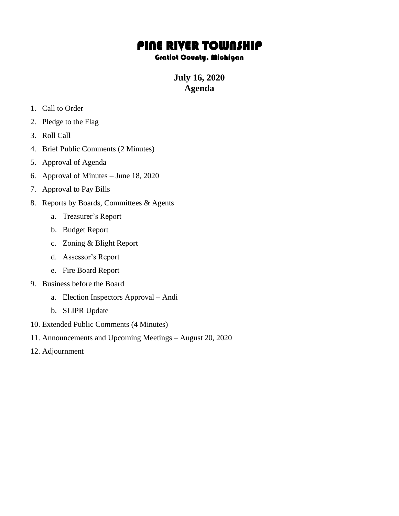## PINE RIVER TOWNSHIP

## Gratiot County, Michigan

**July 16, 2020 Agenda**

- 1. Call to Order
- 2. Pledge to the Flag
- 3. Roll Call
- 4. Brief Public Comments (2 Minutes)
- 5. Approval of Agenda
- 6. Approval of Minutes June 18, 2020
- 7. Approval to Pay Bills
- 8. Reports by Boards, Committees & Agents
	- a. Treasurer's Report
	- b. Budget Report
	- c. Zoning & Blight Report
	- d. Assessor's Report
	- e. Fire Board Report
- 9. Business before the Board
	- a. Election Inspectors Approval Andi
	- b. SLIPR Update
- 10. Extended Public Comments (4 Minutes)
- 11. Announcements and Upcoming Meetings August 20, 2020
- 12. Adjournment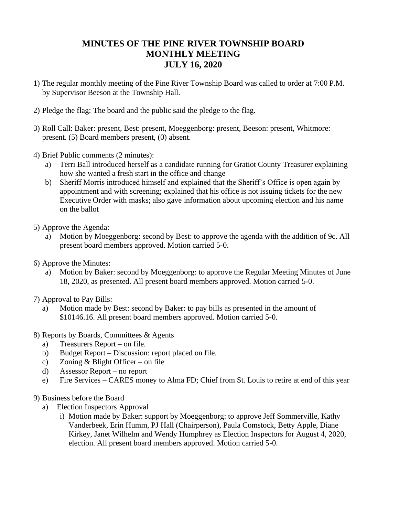## **MINUTES OF THE PINE RIVER TOWNSHIP BOARD MONTHLY MEETING JULY 16, 2020**

- 1) The regular monthly meeting of the Pine River Township Board was called to order at 7:00 P.M. by Supervisor Beeson at the Township Hall.
- 2) Pledge the flag: The board and the public said the pledge to the flag.
- 3) Roll Call: Baker: present, Best: present, Moeggenborg: present, Beeson: present, Whitmore: present. (5) Board members present, (0) absent.
- 4) Brief Public comments (2 minutes):
	- a) Terri Ball introduced herself as a candidate running for Gratiot County Treasurer explaining how she wanted a fresh start in the office and change
	- b) Sheriff Morris introduced himself and explained that the Sheriff's Office is open again by appointment and with screening; explained that his office is not issuing tickets for the new Executive Order with masks; also gave information about upcoming election and his name on the ballot
- 5) Approve the Agenda:
	- a) Motion by Moeggenborg: second by Best: to approve the agenda with the addition of 9c. All present board members approved. Motion carried 5-0.
- 6) Approve the Minutes:
	- a) Motion by Baker: second by Moeggenborg: to approve the Regular Meeting Minutes of June 18, 2020, as presented. All present board members approved. Motion carried 5-0.
- 7) Approval to Pay Bills:
	- a) Motion made by Best: second by Baker: to pay bills as presented in the amount of \$10146.16. All present board members approved. Motion carried 5-0.
- 8) Reports by Boards, Committees & Agents
	- a) Treasurers Report on file.
	- b) Budget Report Discussion: report placed on file.
	- c) Zoning & Blight Officer on file
	- d) Assessor Report no report
	- e) Fire Services CARES money to Alma FD; Chief from St. Louis to retire at end of this year
- 9) Business before the Board
	- a) Election Inspectors Approval
		- i) Motion made by Baker: support by Moeggenborg: to approve Jeff Sommerville, Kathy Vanderbeek, Erin Humm, PJ Hall (Chairperson), Paula Comstock, Betty Apple, Diane Kirkey, Janet Wilhelm and Wendy Humphrey as Election Inspectors for August 4, 2020, election. All present board members approved. Motion carried 5-0.